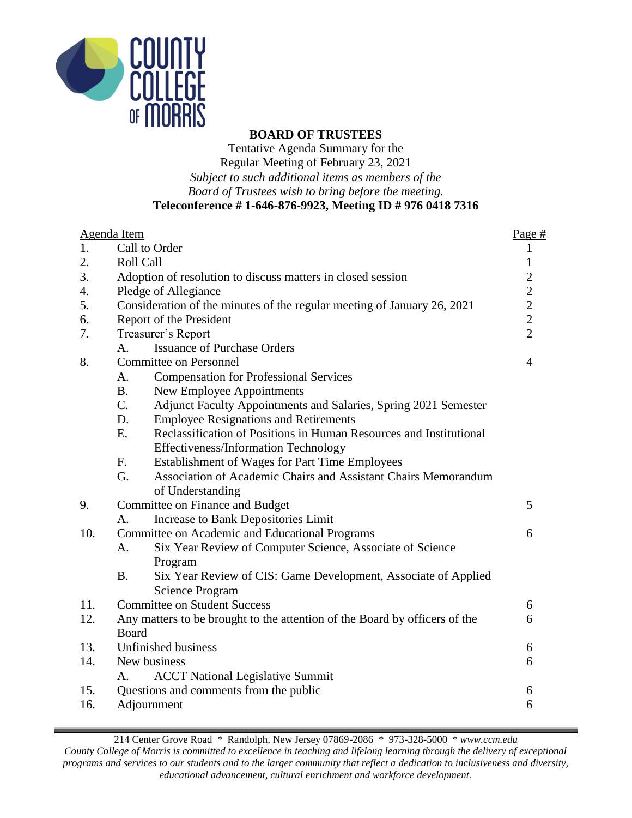

#### **BOARD OF TRUSTEES**

Tentative Agenda Summary for the Regular Meeting of February 23, 2021 *Subject to such additional items as members of the Board of Trustees wish to bring before the meeting.* **Teleconference # 1-646-876-9923, Meeting ID # 976 0418 7316**

|     | Agenda Item                                                                    | Page $#$                                   |  |
|-----|--------------------------------------------------------------------------------|--------------------------------------------|--|
| 1.  | Call to Order                                                                  | $\mathbf{1}$                               |  |
| 2.  | Roll Call                                                                      | $\mathbf{1}$                               |  |
| 3.  | Adoption of resolution to discuss matters in closed session                    |                                            |  |
| 4.  | Pledge of Allegiance                                                           |                                            |  |
| 5.  | Consideration of the minutes of the regular meeting of January 26, 2021        | $\begin{array}{c} 2 \\ 2 \\ 2 \end{array}$ |  |
| 6.  | Report of the President                                                        |                                            |  |
| 7.  | Treasurer's Report                                                             | $\overline{2}$                             |  |
|     | <b>Issuance of Purchase Orders</b><br>$A_{\cdot}$                              |                                            |  |
| 8.  | <b>Committee on Personnel</b>                                                  | $\overline{4}$                             |  |
|     | <b>Compensation for Professional Services</b><br>A.                            |                                            |  |
|     | B <sub>1</sub><br>New Employee Appointments                                    |                                            |  |
|     | $C_{\cdot}$<br>Adjunct Faculty Appointments and Salaries, Spring 2021 Semester |                                            |  |
|     | D.<br><b>Employee Resignations and Retirements</b>                             |                                            |  |
|     | E.<br>Reclassification of Positions in Human Resources and Institutional       |                                            |  |
|     | Effectiveness/Information Technology                                           |                                            |  |
|     | F.<br>Establishment of Wages for Part Time Employees                           |                                            |  |
|     | G.<br>Association of Academic Chairs and Assistant Chairs Memorandum           |                                            |  |
|     | of Understanding                                                               |                                            |  |
| 9.  | Committee on Finance and Budget                                                | 5                                          |  |
|     | Increase to Bank Depositories Limit<br>$A_{\cdot}$                             |                                            |  |
| 10. | Committee on Academic and Educational Programs                                 | 6                                          |  |
|     | Six Year Review of Computer Science, Associate of Science<br>A.                |                                            |  |
|     | Program                                                                        |                                            |  |
|     | <b>B.</b><br>Six Year Review of CIS: Game Development, Associate of Applied    |                                            |  |
|     | <b>Science Program</b>                                                         |                                            |  |
| 11. | <b>Committee on Student Success</b>                                            | 6                                          |  |
| 12. | Any matters to be brought to the attention of the Board by officers of the     | 6                                          |  |
|     | <b>Board</b>                                                                   |                                            |  |
| 13. | Unfinished business                                                            | 6                                          |  |
| 14. | New business                                                                   | 6                                          |  |
|     | <b>ACCT National Legislative Summit</b><br>Α.                                  |                                            |  |
| 15. | Questions and comments from the public                                         | 6                                          |  |
| 16. | Adjournment                                                                    | 6                                          |  |

214 Center Grove Road \* Randolph, New Jersey 07869-2086 \* 973-328-5000 \* *[www.ccm.edu](http://www.ccm.edu/) County College of Morris is committed to excellence in teaching and lifelong learning through the delivery of exceptional programs and services to our students and to the larger community that reflect a dedication to inclusiveness and diversity, educational advancement, cultural enrichment and workforce development.*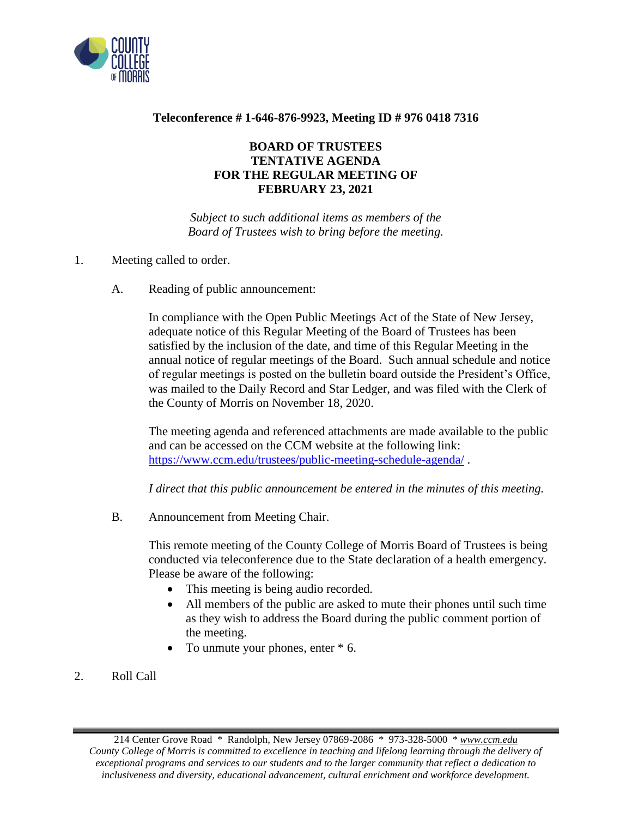

### **Teleconference # 1-646-876-9923, Meeting ID # 976 0418 7316**

## **BOARD OF TRUSTEES TENTATIVE AGENDA FOR THE REGULAR MEETING OF FEBRUARY 23, 2021**

*Subject to such additional items as members of the Board of Trustees wish to bring before the meeting.*

- 1. Meeting called to order.
	- A. Reading of public announcement:

In compliance with the Open Public Meetings Act of the State of New Jersey, adequate notice of this Regular Meeting of the Board of Trustees has been satisfied by the inclusion of the date, and time of this Regular Meeting in the annual notice of regular meetings of the Board. Such annual schedule and notice of regular meetings is posted on the bulletin board outside the President's Office, was mailed to the Daily Record and Star Ledger, and was filed with the Clerk of the County of Morris on November 18, 2020.

The meeting agenda and referenced attachments are made available to the public and can be accessed on the CCM website at the following link: <https://www.ccm.edu/trustees/public-meeting-schedule-agenda/> .

*I direct that this public announcement be entered in the minutes of this meeting.*

B. Announcement from Meeting Chair.

This remote meeting of the County College of Morris Board of Trustees is being conducted via teleconference due to the State declaration of a health emergency. Please be aware of the following:

- This meeting is being audio recorded.
- All members of the public are asked to mute their phones until such time as they wish to address the Board during the public comment portion of the meeting.
- To unmute your phones, enter  $*$  6.
- 2. Roll Call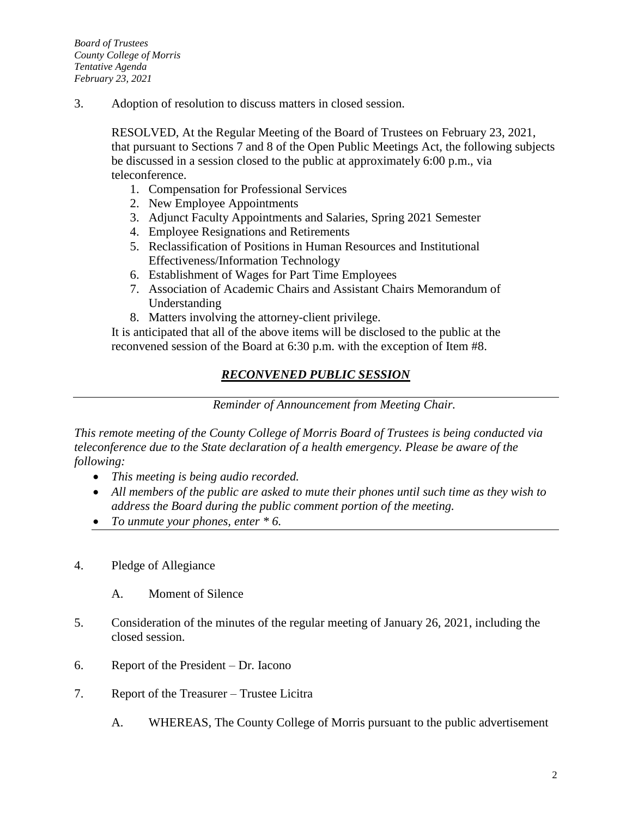3. Adoption of resolution to discuss matters in closed session.

RESOLVED, At the Regular Meeting of the Board of Trustees on February 23, 2021, that pursuant to Sections 7 and 8 of the Open Public Meetings Act, the following subjects be discussed in a session closed to the public at approximately 6:00 p.m., via teleconference.

- 1. Compensation for Professional Services
- 2. New Employee Appointments
- 3. Adjunct Faculty Appointments and Salaries, Spring 2021 Semester
- 4. Employee Resignations and Retirements
- 5. Reclassification of Positions in Human Resources and Institutional Effectiveness/Information Technology
- 6. Establishment of Wages for Part Time Employees
- 7. Association of Academic Chairs and Assistant Chairs Memorandum of Understanding
- 8. Matters involving the attorney-client privilege.

It is anticipated that all of the above items will be disclosed to the public at the reconvened session of the Board at 6:30 p.m. with the exception of Item #8.

# *RECONVENED PUBLIC SESSION*

*Reminder of Announcement from Meeting Chair.*

*This remote meeting of the County College of Morris Board of Trustees is being conducted via teleconference due to the State declaration of a health emergency. Please be aware of the following:*

- *This meeting is being audio recorded.*
- *All members of the public are asked to mute their phones until such time as they wish to address the Board during the public comment portion of the meeting.*
- *To unmute your phones, enter \* 6.*
- 4. Pledge of Allegiance
	- A. Moment of Silence
- 5. Consideration of the minutes of the regular meeting of January 26, 2021, including the closed session.
- 6. Report of the President Dr. Iacono
- 7. Report of the Treasurer Trustee Licitra
	- A. WHEREAS, The County College of Morris pursuant to the public advertisement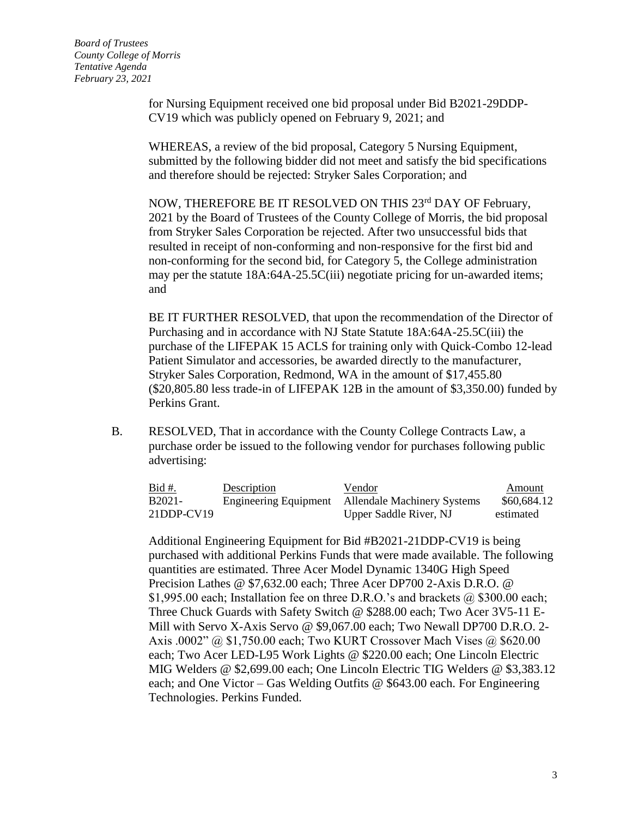*Board of Trustees County College of Morris Tentative Agenda February 23, 2021*

> for Nursing Equipment received one bid proposal under Bid B2021-29DDP-CV19 which was publicly opened on February 9, 2021; and

WHEREAS, a review of the bid proposal, Category 5 Nursing Equipment, submitted by the following bidder did not meet and satisfy the bid specifications and therefore should be rejected: Stryker Sales Corporation; and

NOW, THEREFORE BE IT RESOLVED ON THIS 23rd DAY OF February, 2021 by the Board of Trustees of the County College of Morris, the bid proposal from Stryker Sales Corporation be rejected. After two unsuccessful bids that resulted in receipt of non-conforming and non-responsive for the first bid and non-conforming for the second bid, for Category 5, the College administration may per the statute 18A:64A-25.5C(iii) negotiate pricing for un-awarded items; and

BE IT FURTHER RESOLVED, that upon the recommendation of the Director of Purchasing and in accordance with NJ State Statute 18A:64A-25.5C(iii) the purchase of the LIFEPAK 15 ACLS for training only with Quick-Combo 12-lead Patient Simulator and accessories, be awarded directly to the manufacturer, Stryker Sales Corporation, Redmond, WA in the amount of \$17,455.80 (\$20,805.80 less trade-in of LIFEPAK 12B in the amount of \$3,350.00) funded by Perkins Grant.

B. RESOLVED, That in accordance with the County College Contracts Law, a purchase order be issued to the following vendor for purchases following public advertising:

| <u>Bid #.</u>       | Description | Vendor                                            | Amount      |
|---------------------|-------------|---------------------------------------------------|-------------|
| B <sub>2021</sub> - |             | Engineering Equipment Allendale Machinery Systems | \$60,684.12 |
| $21$ DDP-CV19       |             | Upper Saddle River, NJ                            | estimated   |

Additional Engineering Equipment for Bid #B2021-21DDP-CV19 is being purchased with additional Perkins Funds that were made available. The following quantities are estimated. Three Acer Model Dynamic 1340G High Speed Precision Lathes @ \$7,632.00 each; Three Acer DP700 2-Axis D.R.O. @ \$1,995.00 each; Installation fee on three D.R.O.'s and brackets  $\omega$  \$300.00 each; Three Chuck Guards with Safety Switch @ \$288.00 each; Two Acer 3V5-11 E-Mill with Servo X-Axis Servo @ \$9,067.00 each; Two Newall DP700 D.R.O. 2- Axis .0002" @ \$1,750.00 each; Two KURT Crossover Mach Vises @ \$620.00 each; Two Acer LED-L95 Work Lights @ \$220.00 each; One Lincoln Electric MIG Welders @ \$2,699.00 each; One Lincoln Electric TIG Welders @ \$3,383.12 each; and One Victor – Gas Welding Outfits  $@$  \$643.00 each. For Engineering Technologies. Perkins Funded.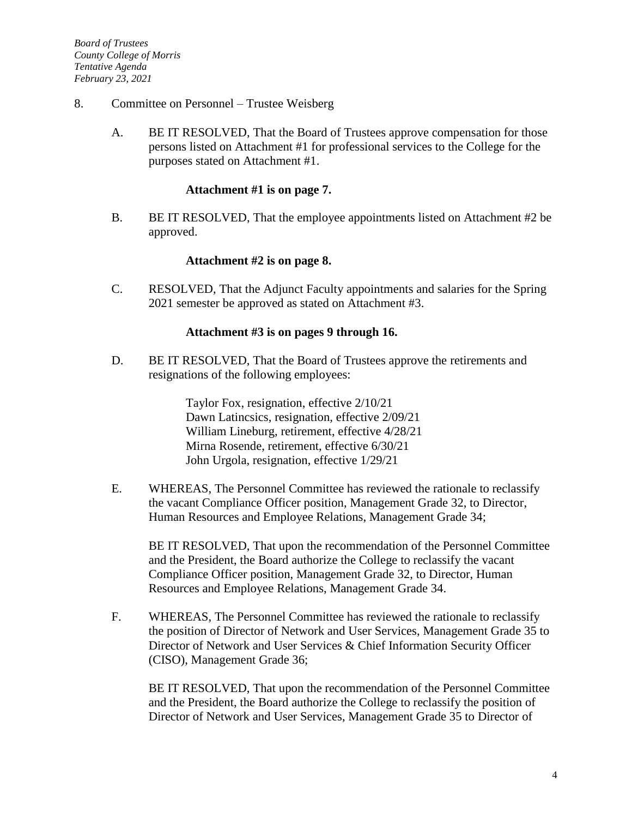- 8. Committee on Personnel Trustee Weisberg
	- A. BE IT RESOLVED, That the Board of Trustees approve compensation for those persons listed on Attachment #1 for professional services to the College for the purposes stated on Attachment #1.

#### **Attachment #1 is on page 7.**

B. BE IT RESOLVED, That the employee appointments listed on Attachment #2 be approved.

#### **Attachment #2 is on page 8.**

C. RESOLVED, That the Adjunct Faculty appointments and salaries for the Spring 2021 semester be approved as stated on Attachment #3.

### **Attachment #3 is on pages 9 through 16.**

D. BE IT RESOLVED, That the Board of Trustees approve the retirements and resignations of the following employees:

> Taylor Fox, resignation, effective 2/10/21 Dawn Latincsics, resignation, effective 2/09/21 William Lineburg, retirement, effective 4/28/21 Mirna Rosende, retirement, effective 6/30/21 John Urgola, resignation, effective 1/29/21

E. WHEREAS, The Personnel Committee has reviewed the rationale to reclassify the vacant Compliance Officer position, Management Grade 32, to Director, Human Resources and Employee Relations, Management Grade 34;

BE IT RESOLVED, That upon the recommendation of the Personnel Committee and the President, the Board authorize the College to reclassify the vacant Compliance Officer position, Management Grade 32, to Director, Human Resources and Employee Relations, Management Grade 34.

F. WHEREAS, The Personnel Committee has reviewed the rationale to reclassify the position of Director of Network and User Services, Management Grade 35 to Director of Network and User Services & Chief Information Security Officer (CISO), Management Grade 36;

BE IT RESOLVED, That upon the recommendation of the Personnel Committee and the President, the Board authorize the College to reclassify the position of Director of Network and User Services, Management Grade 35 to Director of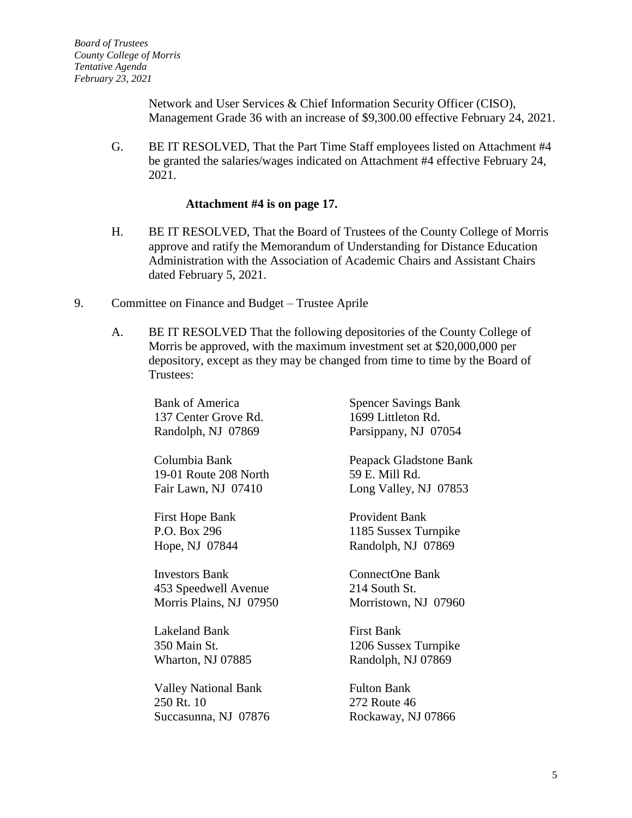Network and User Services & Chief Information Security Officer (CISO), Management Grade 36 with an increase of \$9,300.00 effective February 24, 2021.

G. BE IT RESOLVED, That the Part Time Staff employees listed on Attachment #4 be granted the salaries/wages indicated on Attachment #4 effective February 24, 2021.

#### **Attachment #4 is on page 17.**

- H. BE IT RESOLVED, That the Board of Trustees of the County College of Morris approve and ratify the Memorandum of Understanding for Distance Education Administration with the Association of Academic Chairs and Assistant Chairs dated February 5, 2021.
- 9. Committee on Finance and Budget Trustee Aprile
	- A. BE IT RESOLVED That the following depositories of the County College of Morris be approved, with the maximum investment set at \$20,000,000 per depository, except as they may be changed from time to time by the Board of Trustees:

Bank of America 137 Center Grove Rd. Randolph, NJ 07869

Columbia Bank 19-01 Route 208 North Fair Lawn, NJ 07410

First Hope Bank P.O. Box 296 Hope, NJ 07844

Investors Bank 453 Speedwell Avenue Morris Plains, NJ 07950

Lakeland Bank 350 Main St. Wharton, NJ 07885

Valley National Bank 250 Rt. 10 Succasunna, NJ 07876 Spencer Savings Bank 1699 Littleton Rd. Parsippany, NJ 07054

Peapack Gladstone Bank 59 E. Mill Rd. Long Valley, NJ 07853

Provident Bank 1185 Sussex Turnpike Randolph, NJ 07869

ConnectOne Bank 214 South St. Morristown, NJ 07960

First Bank 1206 Sussex Turnpike Randolph, NJ 07869

Fulton Bank 272 Route 46 Rockaway, NJ 07866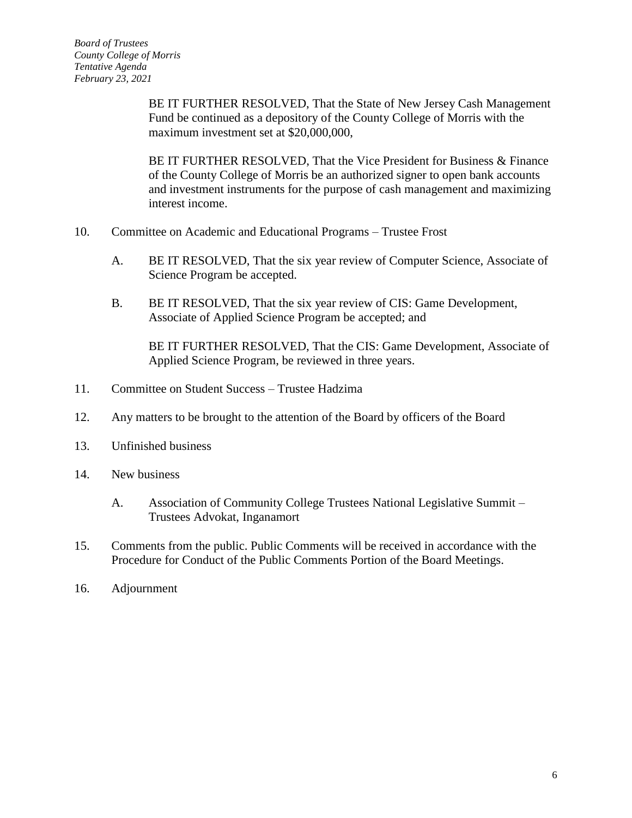BE IT FURTHER RESOLVED, That the State of New Jersey Cash Management Fund be continued as a depository of the County College of Morris with the maximum investment set at \$20,000,000,

BE IT FURTHER RESOLVED, That the Vice President for Business & Finance of the County College of Morris be an authorized signer to open bank accounts and investment instruments for the purpose of cash management and maximizing interest income.

- 10. Committee on Academic and Educational Programs Trustee Frost
	- A. BE IT RESOLVED, That the six year review of Computer Science, Associate of Science Program be accepted.
	- B. BE IT RESOLVED, That the six year review of CIS: Game Development, Associate of Applied Science Program be accepted; and

BE IT FURTHER RESOLVED, That the CIS: Game Development, Associate of Applied Science Program, be reviewed in three years.

- 11. Committee on Student Success Trustee Hadzima
- 12. Any matters to be brought to the attention of the Board by officers of the Board
- 13. Unfinished business
- 14. New business
	- A. Association of Community College Trustees National Legislative Summit Trustees Advokat, Inganamort
- 15. Comments from the public. Public Comments will be received in accordance with the Procedure for Conduct of the Public Comments Portion of the Board Meetings.
- 16. Adjournment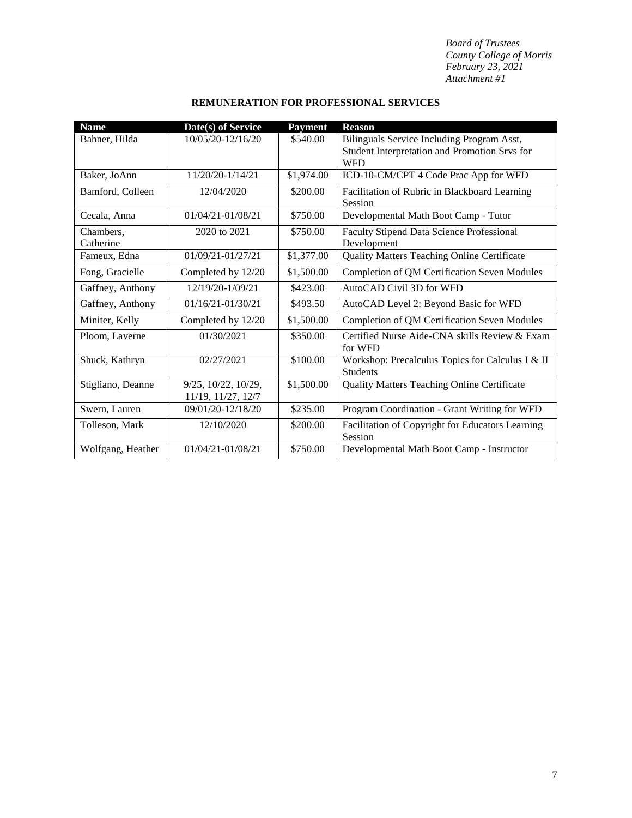| <b>Name</b>            | Date(s) of Service                        | <b>Payment</b> | <b>Reason</b>                                                                                             |
|------------------------|-------------------------------------------|----------------|-----------------------------------------------------------------------------------------------------------|
| Bahner, Hilda          | 10/05/20-12/16/20                         | \$540.00       | Bilinguals Service Including Program Asst,<br>Student Interpretation and Promotion Srvs for<br><b>WFD</b> |
| Baker, JoAnn           | 11/20/20-1/14/21                          | \$1,974.00     | ICD-10-CM/CPT 4 Code Prac App for WFD                                                                     |
| Bamford, Colleen       | 12/04/2020                                | \$200.00       | Facilitation of Rubric in Blackboard Learning<br>Session                                                  |
| Cecala, Anna           | $01/04/21 - 01/08/21$                     | \$750.00       | Developmental Math Boot Camp - Tutor                                                                      |
| Chambers.<br>Catherine | 2020 to 2021                              | \$750.00       | Faculty Stipend Data Science Professional<br>Development                                                  |
| Fameux, Edna           | 01/09/21-01/27/21                         | \$1,377.00     | <b>Quality Matters Teaching Online Certificate</b>                                                        |
| Fong, Gracielle        | Completed by 12/20                        | \$1,500.00     | Completion of QM Certification Seven Modules                                                              |
| Gaffney, Anthony       | 12/19/20-1/09/21                          | \$423.00       | AutoCAD Civil 3D for WFD                                                                                  |
| Gaffney, Anthony       | 01/16/21-01/30/21                         | \$493.50       | AutoCAD Level 2: Beyond Basic for WFD                                                                     |
| Miniter, Kelly         | Completed by 12/20                        | \$1,500.00     | Completion of QM Certification Seven Modules                                                              |
| Ploom, Laverne         | 01/30/2021                                | \$350.00       | Certified Nurse Aide-CNA skills Review & Exam<br>for WFD                                                  |
| Shuck, Kathryn         | 02/27/2021                                | \$100.00       | Workshop: Precalculus Topics for Calculus I & II<br><b>Students</b>                                       |
| Stigliano, Deanne      | 9/25, 10/22, 10/29,<br>11/19, 11/27, 12/7 | \$1,500.00     | <b>Quality Matters Teaching Online Certificate</b>                                                        |
| Swern, Lauren          | 09/01/20-12/18/20                         | \$235.00       | Program Coordination - Grant Writing for WFD                                                              |
| Tolleson, Mark         | 12/10/2020                                | \$200.00       | Facilitation of Copyright for Educators Learning<br>Session                                               |
| Wolfgang, Heather      | $01/04/21 - 01/08/21$                     | \$750.00       | Developmental Math Boot Camp - Instructor                                                                 |

### **REMUNERATION FOR PROFESSIONAL SERVICES**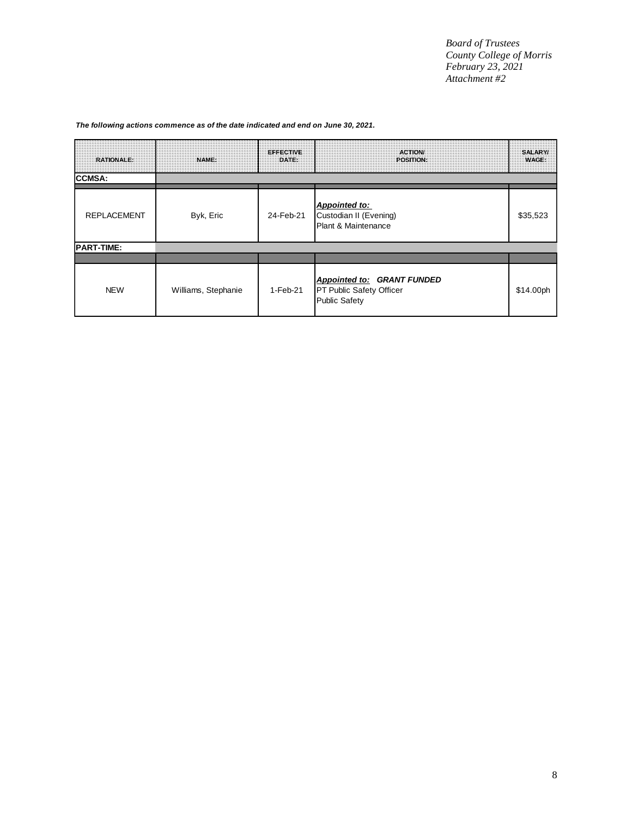| <b>RATIONALE:</b>  | <b>NAME:</b>        | <b>EFFECTIVE</b><br>DATE: | <b>ACTION/</b><br>POSITION:                                                           | <b>SALARY/</b><br><b>WAGE:</b> |
|--------------------|---------------------|---------------------------|---------------------------------------------------------------------------------------|--------------------------------|
| <b>CCMSA:</b>      |                     |                           |                                                                                       |                                |
| <b>REPLACEMENT</b> | Byk, Eric           | 24-Feb-21                 | Appointed to:<br>Custodian II (Evening)<br>Plant & Maintenance                        | \$35,523                       |
| <b>PART-TIME:</b>  |                     |                           |                                                                                       |                                |
|                    |                     |                           |                                                                                       |                                |
| <b>NEW</b>         | Williams, Stephanie | $1-Feb-21$                | Appointed to: GRANT FUNDED<br><b>PT Public Safety Officer</b><br><b>Public Safety</b> | \$14.00ph                      |

#### *The following actions commence as of the date indicated and end on June 30, 2021.*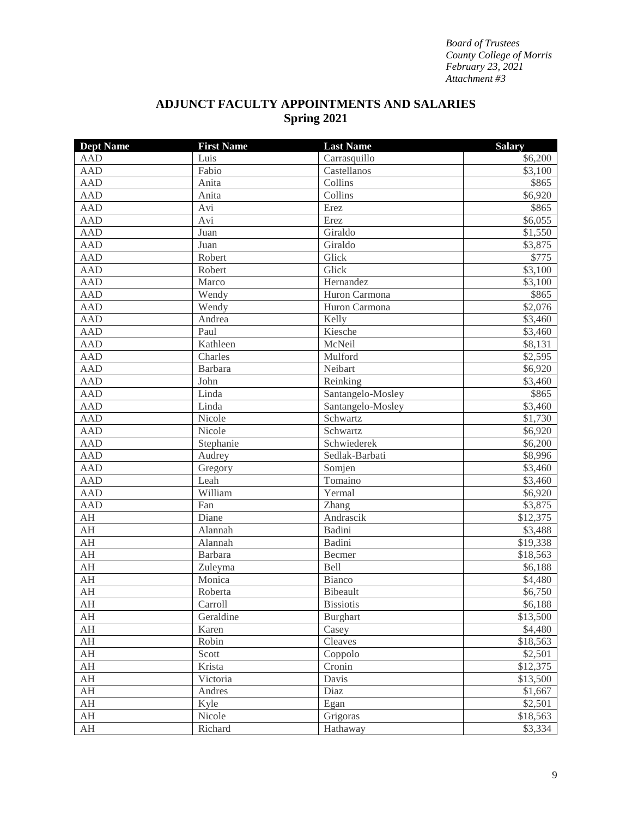## **ADJUNCT FACULTY APPOINTMENTS AND SALARIES Spring 2021**

| <b>Dept Name</b> | <b>First Name</b> | <b>Last Name</b>  | <b>Salary</b>       |
|------------------|-------------------|-------------------|---------------------|
| <b>AAD</b>       | Luis              | Carrasquillo      | \$6,200             |
| <b>AAD</b>       | Fabio             | Castellanos       | \$3,100             |
| <b>AAD</b>       | Anita             | Collins           | \$865               |
| <b>AAD</b>       | Anita             | Collins           | \$6,920             |
| <b>AAD</b>       | Avi               | Erez              | \$865               |
| <b>AAD</b>       | Avi               | Erez              | \$6,055             |
| <b>AAD</b>       | Juan              | Giraldo           | \$1,550             |
| <b>AAD</b>       | Juan              | Giraldo           | \$3,875             |
| <b>AAD</b>       | Robert            | Glick             | \$775               |
| <b>AAD</b>       | Robert            | Glick             | \$3,100             |
| <b>AAD</b>       | Marco             | Hernandez         | \$3,100             |
| <b>AAD</b>       | Wendy             | Huron Carmona     | \$865               |
| <b>AAD</b>       | Wendy             | Huron Carmona     | $\overline{$}2,076$ |
| <b>AAD</b>       | Andrea            | Kelly             | \$3,460             |
| <b>AAD</b>       | Paul              | Kiesche           | \$3,460             |
| <b>AAD</b>       | Kathleen          | McNeil            | \$8,131             |
| <b>AAD</b>       | Charles           | Mulford           | \$2,595             |
| <b>AAD</b>       | Barbara           | Neibart           | \$6,920             |
| <b>AAD</b>       | John              | Reinking          | \$3,460             |
| <b>AAD</b>       | Linda             | Santangelo-Mosley | \$865               |
| <b>AAD</b>       | Linda             | Santangelo-Mosley | \$3,460             |
| <b>AAD</b>       | Nicole            | Schwartz          | \$1,730             |
| <b>AAD</b>       | Nicole            | Schwartz          | \$6,920             |
| <b>AAD</b>       | Stephanie         | Schwiederek       | \$6,200             |
| <b>AAD</b>       | Audrey            | Sedlak-Barbati    | \$8,996             |
| <b>AAD</b>       | Gregory           | Somjen            | \$3,460             |
| <b>AAD</b>       | Leah              | Tomaino           | \$3,460             |
| <b>AAD</b>       | William           | Yermal            | \$6,920             |
| <b>AAD</b>       | Fan               | Zhang             | \$3,875             |
| AH               | Diane             | Andrascik         | \$12,375            |
| AH               | Alannah           | Badini            | \$3,488             |
| AH               | Alannah           | Badini            | \$19,338            |
| AH               | Barbara           | Becmer            | \$18,563            |
| AH               | Zuleyma           | Bell              | \$6,188             |
| AH               | Monica            | Bianco            | \$4,480             |
| AH               | Roberta           | Bibeault          | \$6,750             |
| AH               | Carroll           | <b>Bissiotis</b>  | \$6,188             |
| AH               | Geraldine         | <b>Burghart</b>   | \$13,500            |
| AH               | Karen             | Casey             | \$4,480             |
| AH               | Robin             | Cleaves           | \$18,563            |
| AH               | Scott             | Coppolo           | \$2,501             |
| AH               | Krista            | Cronin            | \$12,375            |
| AH               | Victoria          | Davis             | \$13,500            |
| AH               | Andres            | Diaz              | \$1,667             |
| AH               | Kyle              | Egan              | \$2,501             |
| AH               | Nicole            | Grigoras          | \$18,563            |
| AH               | Richard           | Hathaway          | \$3,334             |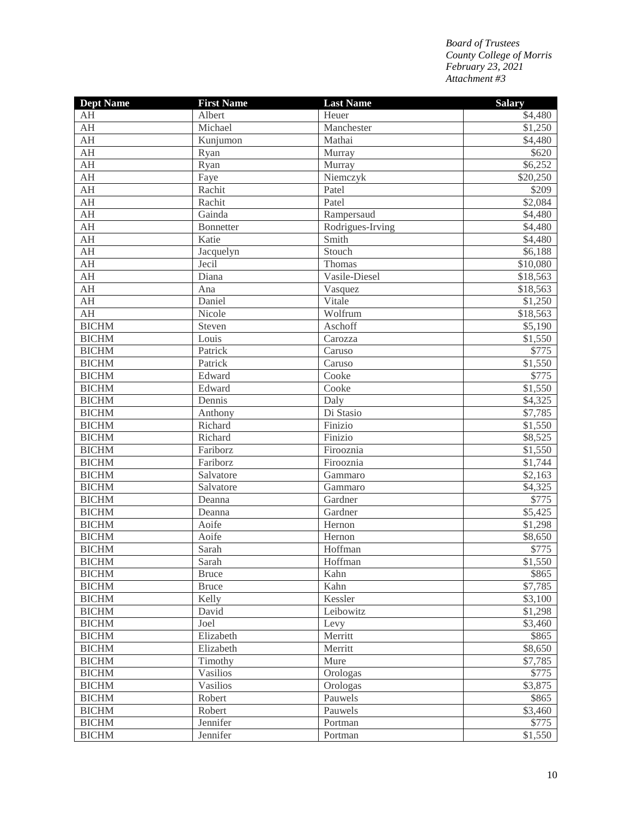| <b>Dept Name</b>        | <b>First Name</b> | <b>Last Name</b> | <b>Salary</b> |
|-------------------------|-------------------|------------------|---------------|
| AH                      | Albert            | Heuer            | \$4,480       |
| AH                      | Michael           | Manchester       | \$1,250       |
| $\mathbf{A} \mathbf{H}$ | Kunjumon          | Mathai           | \$4,480       |
| AH                      | Ryan              | Murray           | \$620         |
| $\mathbf{A} \mathbf{H}$ | Ryan              | Murray           | \$6,252       |
| AH                      | Faye              | Niemczyk         | \$20,250      |
| $\mathbf{A} \mathbf{H}$ | Rachit            | Patel            | \$209         |
| AH                      | Rachit            | Patel            | \$2,084       |
| $\mathbf{A} \mathbf{H}$ | Gainda            | Rampersaud       | \$4,480       |
| $\mathbf{A} \mathbf{H}$ | <b>Bonnetter</b>  | Rodrigues-Irving | \$4,480       |
| AH                      | Katie             | Smith            | \$4,480       |
| $\mathbf{A} \mathbf{H}$ | Jacquelyn         | Stouch           | \$6,188       |
| AH                      | Jecil             | Thomas           | \$10,080      |
| $\mathbf{A} \mathbf{H}$ | Diana             | Vasile-Diesel    | \$18,563      |
| AH                      | Ana               | Vasquez          | \$18,563      |
| $\mathbf{A} \mathbf{H}$ | Daniel            | Vitale           | \$1,250       |
| AH                      | Nicole            | Wolfrum          | \$18,563      |
| <b>BICHM</b>            | Steven            | Aschoff          | \$5,190       |
| <b>BICHM</b>            | Louis             | Carozza          | \$1,550       |
| <b>BICHM</b>            | Patrick           | Caruso           | \$775         |
| <b>BICHM</b>            | Patrick           | Caruso           | \$1,550       |
| <b>BICHM</b>            | Edward            | Cooke            | \$775         |
| <b>BICHM</b>            | Edward            | Cooke            | \$1,550       |
| <b>BICHM</b>            | Dennis            | Daly             | \$4,325       |
| <b>BICHM</b>            | Anthony           | Di Stasio        | \$7,785       |
| <b>BICHM</b>            | Richard           | Finizio          | \$1,550       |
| <b>BICHM</b>            | Richard           | Finizio          | \$8,525       |
| <b>BICHM</b>            | Fariborz          | Firooznia        | \$1,550       |
| <b>BICHM</b>            | Fariborz          | Firooznia        | \$1,744       |
| <b>BICHM</b>            | Salvatore         | Gammaro          | \$2,163       |
| <b>BICHM</b>            | Salvatore         | Gammaro          | \$4,325       |
| <b>BICHM</b>            | Deanna            | Gardner          | \$775         |
| <b>BICHM</b>            | Deanna            | Gardner          | \$5,425       |
| <b>BICHM</b>            | Aoife             | Hernon           | \$1,298       |
| <b>BICHM</b>            | Aoife             | Hernon           | \$8,650       |
| <b>BICHM</b>            | Sarah             | Hoffman          | \$775         |
| <b>BICHM</b>            | Sarah             | Hoffman          | \$1,550       |
| <b>BICHM</b>            | <b>Bruce</b>      | Kahn             | \$865         |
| <b>BICHM</b>            | <b>Bruce</b>      | Kahn             | \$7,785       |
| <b>BICHM</b>            | Kelly             | Kessler          | \$3,100       |
| <b>BICHM</b>            | David             | Leibowitz        | \$1,298       |
| <b>BICHM</b>            | Joel              | Levy             | \$3,460       |
| <b>BICHM</b>            | Elizabeth         | Merritt          | \$865         |
| <b>BICHM</b>            | Elizabeth         | Merritt          | \$8,650       |
| <b>BICHM</b>            | Timothy           | Mure             | \$7,785       |
| <b>BICHM</b>            | Vasilios          | Orologas         | \$775         |
| <b>BICHM</b>            | <b>Vasilios</b>   | Orologas         | \$3,875       |
| <b>BICHM</b>            | Robert            | Pauwels          | \$865         |
| <b>BICHM</b>            | Robert            | Pauwels          | \$3,460       |
| <b>BICHM</b>            | Jennifer          | Portman          | \$775         |
| <b>BICHM</b>            | Jennifer          | Portman          | \$1,550       |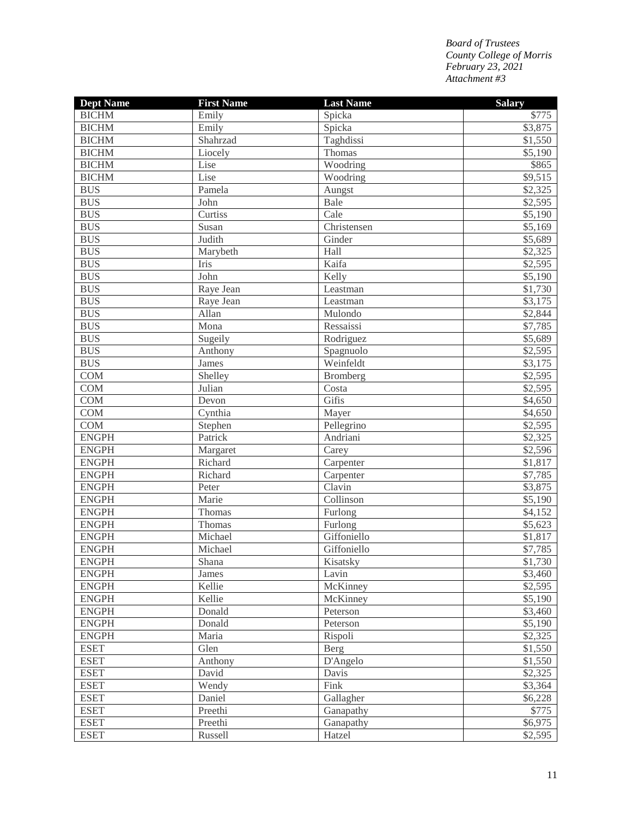| <b>Dept Name</b> | <b>First Name</b> | <b>Last Name</b> | <b>Salary</b> |
|------------------|-------------------|------------------|---------------|
| <b>BICHM</b>     | Emily             | Spicka           | \$775         |
| <b>BICHM</b>     | Emily             | Spicka           | \$3,875       |
| <b>BICHM</b>     | Shahrzad          | Taghdissi        | \$1,550       |
| <b>BICHM</b>     | Liocely           | Thomas           | \$5,190       |
| <b>BICHM</b>     | Lise              | Woodring         | \$865         |
| <b>BICHM</b>     | Lise              | Woodring         | \$9,515       |
| <b>BUS</b>       | Pamela            | Aungst           | \$2,325       |
| <b>BUS</b>       | John              | Bale             | \$2,595       |
| <b>BUS</b>       | Curtiss           | Cale             | \$5,190       |
| <b>BUS</b>       | Susan             | Christensen      | \$5,169       |
| <b>BUS</b>       | Judith            | Ginder           | \$5,689       |
| <b>BUS</b>       | Marybeth          | Hall             | \$2,325       |
| <b>BUS</b>       | Iris              | Kaifa            | \$2,595       |
| <b>BUS</b>       | John              | Kelly            | \$5,190       |
| <b>BUS</b>       | Raye Jean         | Leastman         | \$1,730       |
| <b>BUS</b>       | Raye Jean         | Leastman         | \$3,175       |
| <b>BUS</b>       | Allan             | Mulondo          | \$2,844       |
| <b>BUS</b>       | Mona              | Ressaissi        | \$7,785       |
| <b>BUS</b>       | Sugeily           | Rodriguez        | \$5,689       |
| <b>BUS</b>       | Anthony           | Spagnuolo        | \$2,595       |
| <b>BUS</b>       | James             | Weinfeldt        | \$3,175       |
| <b>COM</b>       | Shelley           | Bromberg         | \$2,595       |
| <b>COM</b>       | Julian            | Costa            | \$2,595       |
| <b>COM</b>       | Devon             | Gifis            | \$4,650       |
| COM              | Cynthia           | Mayer            | \$4,650       |
| COM              | Stephen           | Pellegrino       | \$2,595       |
| <b>ENGPH</b>     | Patrick           | Andriani         | \$2,325       |
| <b>ENGPH</b>     | Margaret          | Carey            | \$2,596       |
| <b>ENGPH</b>     | Richard           | Carpenter        | \$1,817       |
| <b>ENGPH</b>     | Richard           | Carpenter        | \$7,785       |
| <b>ENGPH</b>     | Peter             | Clavin           | \$3,875       |
| <b>ENGPH</b>     | Marie             | Collinson        | \$5,190       |
| <b>ENGPH</b>     | Thomas            | Furlong          | \$4,152       |
| <b>ENGPH</b>     | Thomas            | Furlong          | \$5,623       |
| <b>ENGPH</b>     | Michael           | Giffoniello      | \$1,817       |
| <b>ENGPH</b>     | Michael           | Giffoniello      | \$7,785       |
| <b>ENGPH</b>     | Shana             | Kisatsky         | \$1,730       |
| <b>ENGPH</b>     | James             | Lavin            | \$3,460       |
| <b>ENGPH</b>     | Kellie            | McKinney         | \$2,595       |
| <b>ENGPH</b>     | Kellie            | McKinney         | \$5,190       |
| <b>ENGPH</b>     | Donald            | Peterson         | \$3,460       |
| <b>ENGPH</b>     | Donald            | Peterson         | \$5,190       |
| <b>ENGPH</b>     | Maria             | Rispoli          | \$2,325       |
| <b>ESET</b>      | Glen              | Berg             | \$1,550       |
| <b>ESET</b>      | Anthony           | D'Angelo         | \$1,550       |
| <b>ESET</b>      | David             | Davis            | \$2,325       |
| <b>ESET</b>      | Wendy             | Fink             | \$3,364       |
| <b>ESET</b>      | Daniel            | Gallagher        | \$6,228       |
| <b>ESET</b>      | Preethi           | Ganapathy        | \$775         |
| <b>ESET</b>      | Preethi           | Ganapathy        | \$6,975       |
| <b>ESET</b>      | Russell           | Hatzel           | \$2,595       |
|                  |                   |                  |               |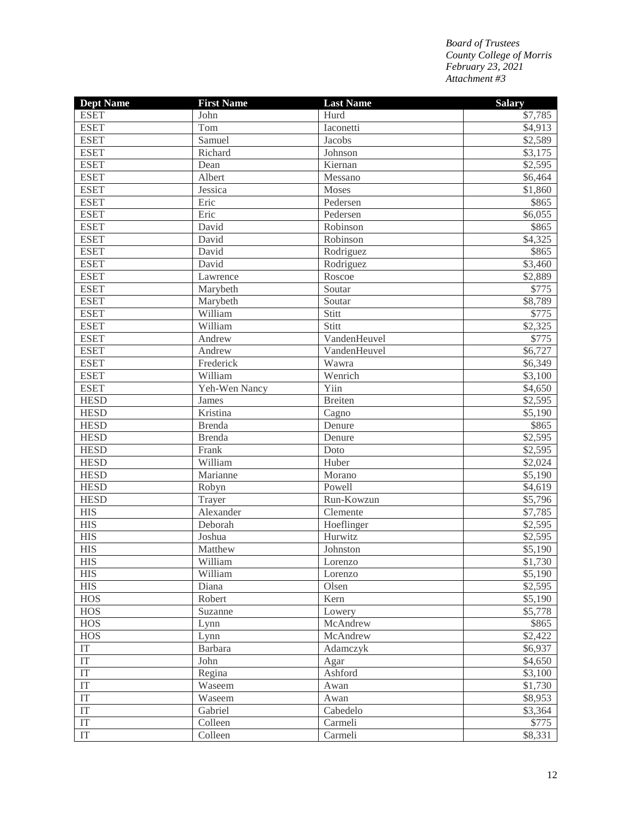| <b>Dept Name</b>           | <b>First Name</b> | <b>Last Name</b> | <b>Salary</b> |
|----------------------------|-------------------|------------------|---------------|
| <b>ESET</b>                | John              | Hurd             | \$7,785       |
| <b>ESET</b>                | Tom               | Iaconetti        | \$4,913       |
| <b>ESET</b>                | Samuel            | Jacobs           | \$2,589       |
| <b>ESET</b>                | Richard           | Johnson          | \$3,175       |
| <b>ESET</b>                | Dean              | Kiernan          | \$2,595       |
| <b>ESET</b>                | Albert            | Messano          | \$6,464       |
| <b>ESET</b>                | Jessica           | Moses            | \$1,860       |
| <b>ESET</b>                | Eric              | Pedersen         | \$865         |
| <b>ESET</b>                | Eric              | Pedersen         | \$6,055       |
| <b>ESET</b>                | David             | Robinson         | \$865         |
| <b>ESET</b>                | David             | Robinson         | \$4,325       |
| <b>ESET</b>                | David             | Rodriguez        | \$865         |
| <b>ESET</b>                | David             | Rodriguez        | \$3,460       |
| <b>ESET</b>                | Lawrence          | Roscoe           | \$2,889       |
| <b>ESET</b>                | Marybeth          | Soutar           | \$775         |
| <b>ESET</b>                | Marybeth          | Soutar           | \$8,789       |
| <b>ESET</b>                | William           | Stitt            | \$775         |
| <b>ESET</b>                | William           | Stitt            | \$2,325       |
| <b>ESET</b>                | Andrew            | VandenHeuvel     | \$775         |
| <b>ESET</b>                | Andrew            | VandenHeuvel     | \$6,727       |
| <b>ESET</b>                | Frederick         | Wawra            | \$6,349       |
| <b>ESET</b>                | William           | Wenrich          | \$3,100       |
| <b>ESET</b>                | Yeh-Wen Nancy     | Yiin             | \$4,650       |
| <b>HESD</b>                | James             | <b>Breiten</b>   | \$2,595       |
| <b>HESD</b>                | Kristina          | Cagno            | \$5,190       |
| <b>HESD</b>                | <b>Brenda</b>     | Denure           | \$865         |
| <b>HESD</b>                | <b>Brenda</b>     | Denure           | \$2,595       |
| <b>HESD</b>                | Frank             | Doto             | \$2,595       |
| <b>HESD</b>                | William           | Huber            | \$2,024       |
| <b>HESD</b>                | Marianne          | Morano           | \$5,190       |
| <b>HESD</b>                | Robyn             | Powell           | \$4,619       |
| <b>HESD</b>                | Trayer            | Run-Kowzun       | \$5,796       |
| <b>HIS</b>                 | Alexander         | Clemente         | \$7,785       |
| <b>HIS</b>                 | Deborah           | Hoeflinger       | \$2,595       |
| <b>HIS</b>                 | Joshua            | Hurwitz          | \$2,595       |
| <b>HIS</b>                 | Matthew           | Johnston         | \$5,190       |
| <b>HIS</b>                 | William           | Lorenzo          | \$1,730       |
| <b>HIS</b>                 | William           | Lorenzo          | \$5,190       |
| ${\rm HIS}$                | Diana             | Olsen            | \$2,595       |
| <b>HOS</b>                 | Robert            | Kern             | \$5,190       |
| <b>HOS</b>                 | Suzanne           | Lowery           | \$5,778       |
| <b>HOS</b>                 | Lynn              | McAndrew         | \$865         |
| <b>HOS</b>                 | Lynn              | McAndrew         | \$2,422       |
| $\operatorname{IT}$        | Barbara           | Adamczyk         | \$6,937       |
| $\operatorname{IT}$        | John              | Agar             | \$4,650       |
| $\operatorname{IT}$        | Regina            | Ashford          | \$3,100       |
| $\operatorname{IT}$        | Waseem            | Awan             | \$1,730       |
| $\operatorname{IT}$        | Waseem            | Awan             | \$8,953       |
| $\operatorname{IT}$        | Gabriel           | Cabedelo         | \$3,364       |
| $\operatorname{IT}$        | Colleen           | Carmeli          | \$775         |
| $\ensuremath{\mathsf{IT}}$ | Colleen           | Carmeli          | \$8,331       |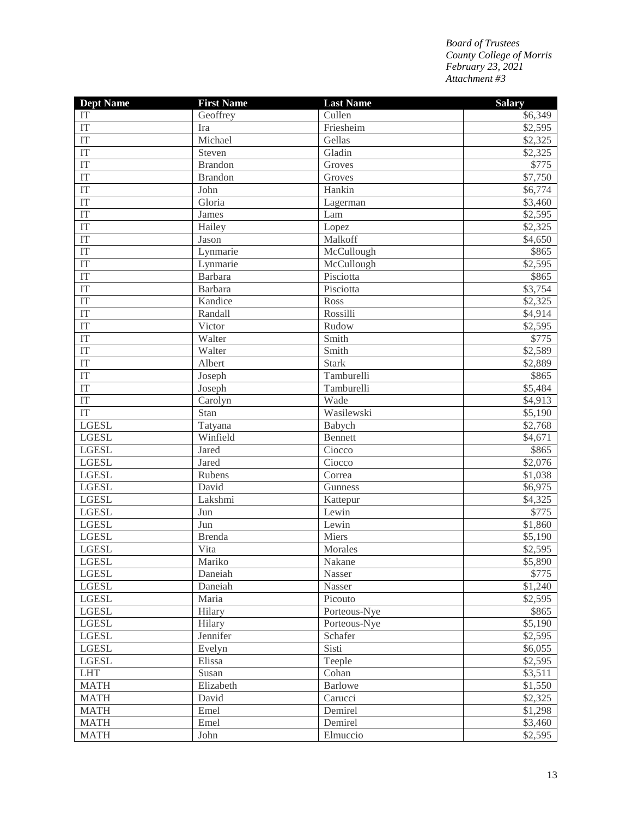| <b>Dept Name</b>       | <b>First Name</b> | <b>Last Name</b> | <b>Salary</b> |
|------------------------|-------------------|------------------|---------------|
| IT                     | Geoffrey          | Cullen           | \$6,349       |
| IT                     | Ira               | Friesheim        | \$2,595       |
| IT                     | Michael           | Gellas           | \$2,325       |
| IT                     | Steven            | Gladin           | \$2,325       |
| $\overline{\text{IT}}$ | <b>Brandon</b>    | Groves           | \$775         |
| IT                     | <b>Brandon</b>    | Groves           | \$7,750       |
| $\overline{\text{IT}}$ | John              | Hankin           | \$6,774       |
| IT                     | Gloria            | Lagerman         | \$3,460       |
| IT                     | James             | Lam              | \$2,595       |
| IT                     | Hailey            | Lopez            | \$2,325       |
| IT                     | Jason             | Malkoff          | \$4,650       |
| $\overline{\text{IT}}$ | Lynmarie          | McCullough       | \$865         |
| IT                     | Lynmarie          | McCullough       | \$2,595       |
| IT                     | Barbara           | Pisciotta        | \$865         |
| IT                     | <b>Barbara</b>    | Pisciotta        | \$3,754       |
| IT                     | Kandice           | Ross             | \$2,325       |
| IT                     | Randall           | Rossilli         | \$4,914       |
| IT                     | Victor            | Rudow            | \$2,595       |
| IT                     | Walter            | Smith            | \$775         |
| IT                     | Walter            | Smith            | \$2,589       |
| IT                     | Albert            | <b>Stark</b>     | \$2,889       |
| IT                     | Joseph            | Tamburelli       | \$865         |
| $\overline{\text{IT}}$ | Joseph            | Tamburelli       | \$5,484       |
| $\overline{\text{IT}}$ | Carolyn           | Wade             | \$4,913       |
| IT                     | Stan              | Wasilewski       | \$5,190       |
| <b>LGESL</b>           | Tatyana           | Babych           | \$2,768       |
| <b>LGESL</b>           | Winfield          | Bennett          | \$4,671       |
| <b>LGESL</b>           | Jared             | Ciocco           | \$865         |
| <b>LGESL</b>           | Jared             | Ciocco           | \$2,076       |
| <b>LGESL</b>           | Rubens            | Correa           | \$1,038       |
| <b>LGESL</b>           | David             | Gunness          | \$6,975       |
| <b>LGESL</b>           | Lakshmi           | Kattepur         | \$4,325       |
| <b>LGESL</b>           | Jun               | Lewin            | \$775         |
| <b>LGESL</b>           | Jun               | Lewin            | \$1,860       |
| <b>LGESL</b>           | <b>Brenda</b>     | Miers            | \$5,190       |
| <b>LGESL</b>           | Vita              | Morales          | \$2,595       |
| <b>LGESL</b>           | Mariko            | Nakane           | \$5,890       |
| <b>LGESL</b>           | Daneiah           | Nasser           | \$775         |
| <b>LGESL</b>           | Daneiah           | Nasser           | \$1,240       |
| <b>LGESL</b>           | Maria             | Picouto          | \$2,595       |
| <b>LGESL</b>           | Hilary            | Porteous-Nye     | \$865         |
| <b>LGESL</b>           | Hilary            | Porteous-Nye     | \$5,190       |
| <b>LGESL</b>           | Jennifer          | Schafer          | \$2,595       |
| <b>LGESL</b>           | Evelyn            | Sisti            | \$6,055       |
| <b>LGESL</b>           | Elissa            | Teeple           | \$2,595       |
| <b>LHT</b>             | Susan             | Cohan            | \$3,511       |
| <b>MATH</b>            | Elizabeth         | <b>Barlowe</b>   | \$1,550       |
| <b>MATH</b>            | David             | Carucci          | \$2,325       |
| <b>MATH</b>            | Emel              | Demirel          | \$1,298       |
| <b>MATH</b>            | Emel              | Demirel          | \$3,460       |
| <b>MATH</b>            | John              | Elmuccio         | \$2,595       |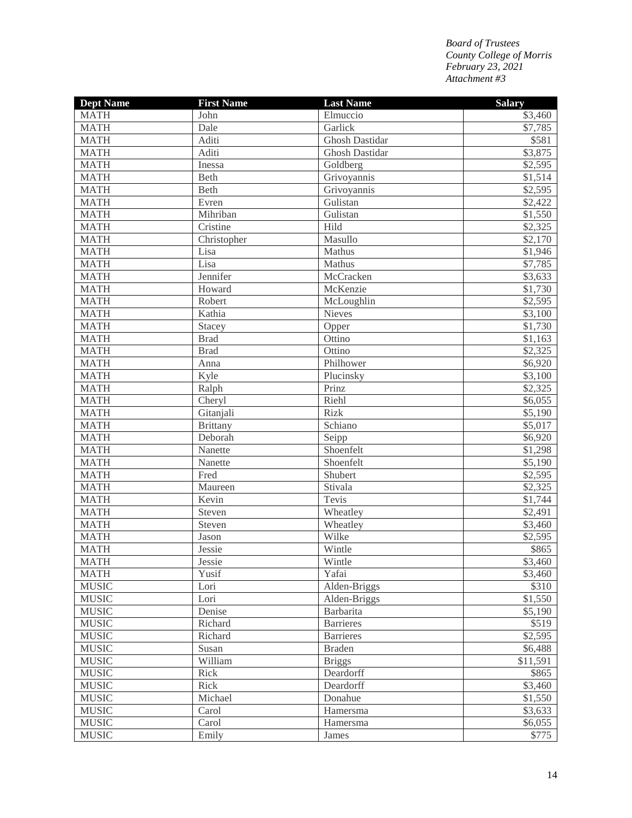| <b>MATH</b><br>Elmuccio<br>John               | <b>Salary</b><br>\$3,460 |
|-----------------------------------------------|--------------------------|
|                                               |                          |
| <b>MATH</b><br>Garlick<br>Dale                | \$7,785                  |
| <b>MATH</b><br>Aditi<br><b>Ghosh Dastidar</b> | \$581                    |
| <b>MATH</b><br>Aditi<br>Ghosh Dastidar        | \$3,875                  |
| <b>MATH</b><br>Goldberg<br>Inessa             | \$2,595                  |
| <b>MATH</b><br>Beth<br>Grivoyannis            | \$1,514                  |
| <b>MATH</b><br>Beth<br>Grivoyannis            | \$2,595                  |
| <b>MATH</b><br>Evren<br>Gulistan              | \$2,422                  |
| <b>MATH</b><br>Gulistan<br>Mihriban           | \$1,550                  |
| <b>MATH</b><br>Cristine<br>Hild               | \$2,325                  |
| <b>MATH</b><br>Masullo<br>Christopher         | \$2,170                  |
| <b>MATH</b><br>Lisa<br>Mathus                 | \$1,946                  |
| Lisa<br><b>MATH</b><br>Mathus                 | \$7,785                  |
| Jennifer<br><b>MATH</b><br>McCracken          | \$3,633                  |
| <b>MATH</b><br>McKenzie<br>Howard             | \$1,730                  |
| <b>MATH</b><br>Robert<br>McLoughlin           | \$2,595                  |
| <b>MATH</b><br>Kathia<br>Nieves               | \$3,100                  |
| <b>MATH</b><br>Stacey<br>Opper                | \$1,730                  |
| <b>MATH</b><br>Ottino<br><b>Brad</b>          | \$1,163                  |
| <b>MATH</b><br><b>Brad</b><br>Ottino          | \$2,325                  |
| <b>MATH</b><br>Anna<br>Philhower              | \$6,920                  |
| <b>MATH</b><br>Kyle<br>Plucinsky              | \$3,100                  |
| <b>MATH</b><br>Ralph<br>Prinz                 | \$2,325                  |
| <b>MATH</b><br>Riehl<br>Cheryl                | \$6,055                  |
| Gitanjali<br><b>MATH</b><br><b>Rizk</b>       | \$5,190                  |
| <b>MATH</b><br>Schiano<br><b>Brittany</b>     | \$5,017                  |
| <b>MATH</b><br>Seipp<br>Deborah               | \$6,920                  |
| Shoenfelt<br><b>MATH</b><br>Nanette           | \$1,298                  |
| Shoenfelt<br><b>MATH</b><br>Nanette           | \$5,190                  |
| <b>MATH</b><br>Fred<br>Shubert                | \$2,595                  |
| <b>MATH</b><br>Stivala<br>Maureen             | \$2,325                  |
| Tevis<br><b>MATH</b><br>Kevin                 | \$1,744                  |
| <b>MATH</b><br>Steven<br>Wheatley             | \$2,491                  |
| <b>MATH</b><br>Steven<br>Wheatley             | \$3,460                  |
| Wilke<br><b>MATH</b><br>Jason                 | \$2,595                  |
| Wintle<br><b>MATH</b><br>Jessie               | \$865                    |
| <b>MATH</b><br>Wintle<br>Jessie               | \$3,460                  |
| <b>MATH</b><br>Yusif<br>Yafai                 | \$3,460                  |
| <b>MUSIC</b><br>Alden-Briggs<br>Lori          | \$310                    |
| <b>MUSIC</b><br>Lori<br>Alden-Briggs          | \$1,550                  |
| <b>MUSIC</b><br>Barbarita<br>Denise           | \$5,190                  |
| <b>MUSIC</b><br><b>Barrieres</b><br>Richard   | \$519                    |
| <b>MUSIC</b><br>Richard<br><b>Barrieres</b>   | \$2,595                  |
| <b>MUSIC</b><br>Susan<br><b>Braden</b>        | \$6,488                  |
| <b>MUSIC</b><br>William<br><b>Briggs</b>      | \$11,591                 |
| <b>MUSIC</b><br>Deardorff<br>Rick             | \$865                    |
| <b>MUSIC</b><br>Rick<br>Deardorff             | \$3,460                  |
| <b>MUSIC</b><br>Donahue<br>Michael            | \$1,550                  |
| <b>MUSIC</b><br>Hamersma<br>Carol             | \$3,633                  |
| <b>MUSIC</b><br>Carol<br>Hamersma             | \$6,055                  |
| <b>MUSIC</b><br>Emily<br>James                | \$775                    |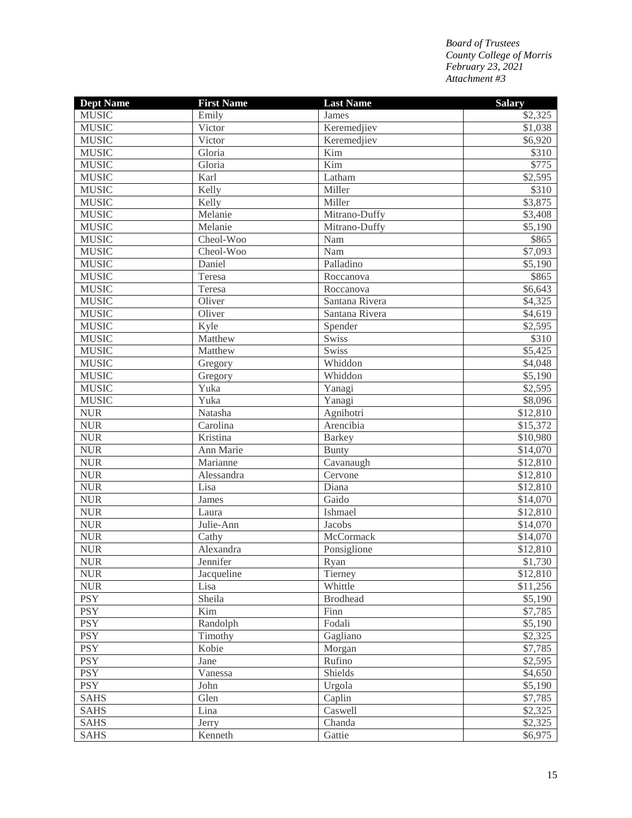| <b>Dept Name</b> | <b>First Name</b> | <b>Last Name</b> | <b>Salary</b> |
|------------------|-------------------|------------------|---------------|
| <b>MUSIC</b>     | Emily             | James            | \$2,325       |
| <b>MUSIC</b>     | Victor            | Keremedjiev      | \$1,038       |
| <b>MUSIC</b>     | Victor            | Keremedjiev      | \$6,920       |
| <b>MUSIC</b>     | Gloria            | Kim              | \$310         |
| <b>MUSIC</b>     | Gloria            | Kim              | \$775         |
| <b>MUSIC</b>     | Karl              | Latham           | \$2,595       |
| <b>MUSIC</b>     | Kelly             | Miller           | \$310         |
| <b>MUSIC</b>     | Kelly             | Miller           | \$3,875       |
| <b>MUSIC</b>     | Melanie           | Mitrano-Duffy    | \$3,408       |
| <b>MUSIC</b>     | Melanie           | Mitrano-Duffy    | \$5,190       |
| <b>MUSIC</b>     | Cheol-Woo         | Nam              | \$865         |
| <b>MUSIC</b>     | Cheol-Woo         | Nam              | \$7,093       |
| <b>MUSIC</b>     | Daniel            | Palladino        | \$5,190       |
| <b>MUSIC</b>     | Teresa            | Roccanova        | \$865         |
| <b>MUSIC</b>     | Teresa            | Roccanova        | \$6,643       |
| <b>MUSIC</b>     | Oliver            | Santana Rivera   | \$4,325       |
| <b>MUSIC</b>     | Oliver            | Santana Rivera   | \$4,619       |
| <b>MUSIC</b>     | Kyle              | Spender          | \$2,595       |
| <b>MUSIC</b>     | Matthew           | Swiss            | \$310         |
| <b>MUSIC</b>     | Matthew           | Swiss            | \$5,425       |
| <b>MUSIC</b>     | Gregory           | Whiddon          | \$4,048       |
| <b>MUSIC</b>     | Gregory           | Whiddon          | \$5,190       |
| <b>MUSIC</b>     | Yuka              | Yanagi           | \$2,595       |
| <b>MUSIC</b>     | Yuka              | Yanagi           | \$8,096       |
| <b>NUR</b>       | Natasha           | Agnihotri        | \$12,810      |
| ${\rm NUR}$      | Carolina          | Arencibia        | \$15,372      |
| <b>NUR</b>       | Kristina          | <b>Barkey</b>    | \$10,980      |
| ${\rm NUR}$      | Ann Marie         | Bunty            | \$14,070      |
| <b>NUR</b>       | Marianne          | Cavanaugh        | \$12,810      |
| ${\rm NUR}$      | Alessandra        | Cervone          | \$12,810      |
| <b>NUR</b>       | Lisa              | Diana            | \$12,810      |
| ${\rm NUR}$      | James             | Gaido            | \$14,070      |
| ${\rm NUR}$      | Laura             | Ishmael          | \$12,810      |
| ${\rm NUR}$      | Julie-Ann         | Jacobs           | \$14,070      |
| ${\rm NUR}$      | Cathy             | McCormack        | \$14,070      |
| <b>NUR</b>       | Alexandra         | Ponsiglione      | \$12,810      |
| <b>NUR</b>       | Jennifer          | Ryan             | \$1,730       |
| <b>NUR</b>       | Jacqueline        | Tierney          | \$12,810      |
| <b>NUR</b>       | Lisa              | Whittle          | \$11,256      |
| <b>PSY</b>       | Sheila            | <b>Brodhead</b>  | \$5,190       |
| <b>PSY</b>       | Kim               | Finn             | \$7,785       |
| <b>PSY</b>       | Randolph          | Fodali           | \$5,190       |
| <b>PSY</b>       | Timothy           | Gagliano         | \$2,325       |
| <b>PSY</b>       | Kobie             | Morgan           | \$7,785       |
| <b>PSY</b>       | Jane              | Rufino           | \$2,595       |
| <b>PSY</b>       | Vanessa           | Shields          | \$4,650       |
| <b>PSY</b>       | John              | Urgola           | \$5,190       |
| <b>SAHS</b>      | Glen              | Caplin           | \$7,785       |
| <b>SAHS</b>      | Lina              | Caswell          | \$2,325       |
| <b>SAHS</b>      | Jerry             | Chanda           | \$2,325       |
| <b>SAHS</b>      | Kenneth           | Gattie           | \$6,975       |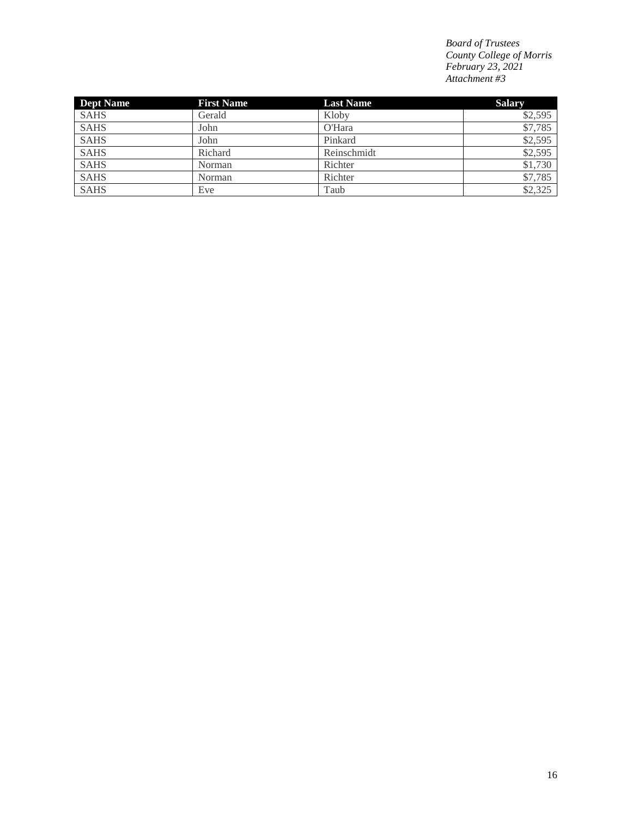| <b>Dept Name</b> | <b>First Name</b> | <b>Last Name</b> | <b>Salary</b> |
|------------------|-------------------|------------------|---------------|
| <b>SAHS</b>      | Gerald            | Kloby            | \$2,595       |
| <b>SAHS</b>      | John              | O'Hara           | \$7,785       |
| <b>SAHS</b>      | John              | Pinkard          | \$2,595       |
| <b>SAHS</b>      | Richard           | Reinschmidt      | \$2,595       |
| <b>SAHS</b>      | Norman            | Richter          | \$1,730       |
| <b>SAHS</b>      | Norman            | Richter          | \$7,785       |
| <b>SAHS</b>      | Eve               | Taub             | \$2,325       |